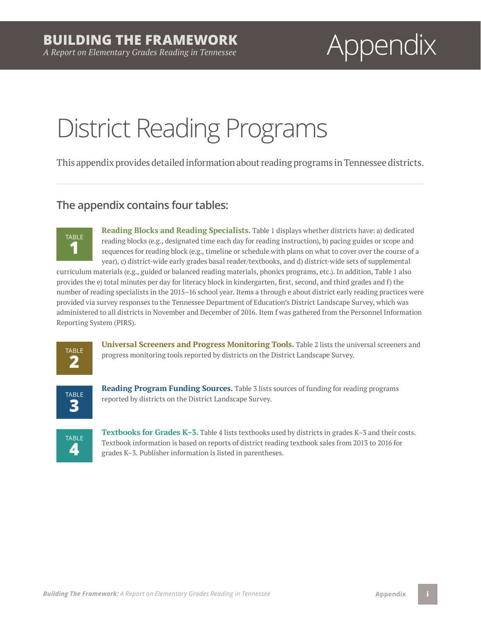# *A Report on Elementary Grades Reading in Tennessee* Appendix

# District Reading Programs

This appendix provides detailed information about reading programs in Tennessee districts.

### **The appendix contains four tables:**



**Reading Blocks and Reading Specialists.** Table 1 displays whether districts have: a) dedicated reading blocks (e.g., designated time each day for reading instruction), b) pacing guides or scope and sequences for reading block (e.g., timeline or schedule with plans on what to cover over the course of a year), c) district-wide early grades basal reader/textbooks, and d) district-wide sets of supplemental

curriculum materials (e.g., guided or balanced reading materials, phonics programs, etc.). In addition, Table 1 also provides the e) total minutes per day for literacy block in kindergarten, first, second, and third grades and f) the number of reading specialists in the 2015–16 school year. Items a through e about district early reading practices were provided via survey responses to the Tennessee Department of Education's District Landscape Survey, which was administered to all districts in November and December of 2016. Item f was gathered from the Personnel Information Reporting System (PIRS).



**Universal Screeners and Progress Monitoring Tools.** Table 2 lists the universal screeners and progress monitoring tools reported by districts on the District Landscape Survey.



**Reading Program Funding Sources.** Table 3 lists sources of funding for reading programs reported by districts on the District Landscape Survey.



**Textbooks for Grades K–3.** Table 4 lists textbooks used by districts in grades K–3 and their costs. Textbook information is based on reports of district reading textbook sales from 2013 to 2016 for grades K–3. Publisher information is listed in parentheses.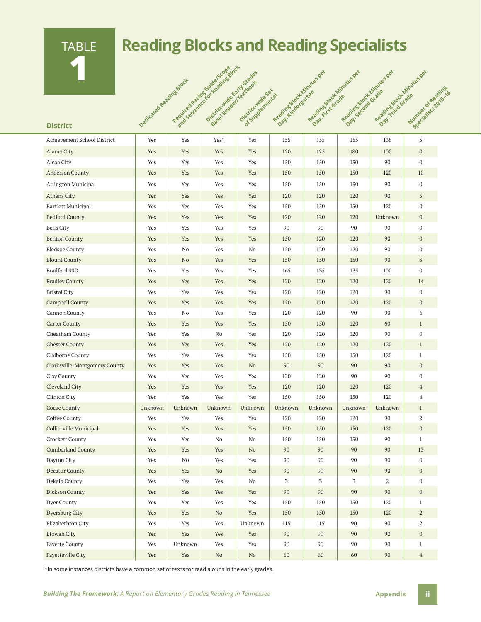TABLE **1**

### **Reading Blocks and Reading Specialists**

|                               | Dedicated Reading Stock | Registed Baches in Basic Stock | Description de Early Grades<br>Sessine adeliations | Districtmide Sex<br>of Supplemental | Regalize Book Minizes per<br>Day: Kindergaren | Regulated by Childres Per<br>Day-FirstGrade | Regulae Bock Minizes per<br>Day: second Grade | Regulated by Chairman es per<br>Day: Third Grade | Number of Regains<br>Specialists parking |
|-------------------------------|-------------------------|--------------------------------|----------------------------------------------------|-------------------------------------|-----------------------------------------------|---------------------------------------------|-----------------------------------------------|--------------------------------------------------|------------------------------------------|
| <b>District</b>               |                         |                                |                                                    |                                     |                                               |                                             |                                               |                                                  |                                          |
| Achievement School District   | Yes                     | Yes                            | Yes*                                               | Yes                                 | 155                                           | 155                                         | 155                                           | 138                                              | 5                                        |
| Alamo City                    | Yes                     | Yes                            | Yes                                                | Yes                                 | 120                                           | 125                                         | 180                                           | 100                                              | $\mathbf{0}$                             |
| Alcoa City                    | Yes                     | Yes                            | Yes                                                | Yes                                 | 150                                           | 150                                         | 150                                           | 90                                               | $\mathbf 0$                              |
| <b>Anderson County</b>        | Yes                     | Yes                            | Yes                                                | Yes                                 | 150                                           | 150                                         | 150                                           | 120                                              | 10                                       |
| Arlington Municipal           | Yes                     | Yes                            | Yes                                                | Yes                                 | 150                                           | 150                                         | 150                                           | 90                                               | $\mathbf{0}$                             |
| <b>Athens City</b>            | Yes                     | Yes                            | Yes                                                | Yes                                 | 120                                           | 120                                         | 120                                           | 90                                               | 5                                        |
| <b>Bartlett Municipal</b>     | Yes                     | Yes                            | Yes                                                | Yes                                 | 150                                           | 150                                         | 150                                           | 120                                              | $\mathbf 0$                              |
| <b>Bedford County</b>         | Yes                     | Yes                            | Yes                                                | Yes                                 | 120                                           | 120                                         | 120                                           | Unknown                                          | $\mathbf{0}$                             |
| <b>Bells City</b>             | Yes                     | Yes                            | Yes                                                | Yes                                 | 90                                            | 90                                          | 90                                            | 90                                               | $\mathbf 0$                              |
| <b>Benton County</b>          | Yes                     | Yes                            | Yes                                                | Yes                                 | 150                                           | 120                                         | 120                                           | 90                                               | $\mathbf{0}$                             |
| <b>Bledsoe County</b>         | Yes                     | No                             | Yes                                                | No                                  | 120                                           | 120                                         | 120                                           | 90                                               | $\mathbf 0$                              |
| <b>Blount County</b>          | Yes                     | N <sub>o</sub>                 | Yes                                                | Yes                                 | 150                                           | 150                                         | 150                                           | 90                                               | $\overline{3}$                           |
| <b>Bradford SSD</b>           | Yes                     | Yes                            | Yes                                                | Yes                                 | 165                                           | 135                                         | 135                                           | 100                                              | $\mathbf 0$                              |
| <b>Bradley County</b>         | Yes                     | Yes                            | Yes                                                | Yes                                 | 120                                           | 120                                         | 120                                           | 120                                              | 14                                       |
| <b>Bristol City</b>           | Yes                     | Yes                            | Yes                                                | Yes                                 | 120                                           | 120                                         | 120                                           | 90                                               | $\mathbf 0$                              |
| Campbell County               | Yes                     | Yes                            | Yes                                                | Yes                                 | 120                                           | 120                                         | 120                                           | 120                                              | $\mathbf{0}$                             |
| Cannon County                 | Yes                     | No                             | Yes                                                | Yes                                 | 120                                           | 120                                         | 90                                            | 90                                               | 6                                        |
| <b>Carter County</b>          | Yes                     | Yes                            | Yes                                                | Yes                                 | 150                                           | 150                                         | 120                                           | 60                                               | $\mathbf{1}$                             |
| Cheatham County               | Yes                     | Yes                            | No                                                 | Yes                                 | 120                                           | 120                                         | 120                                           | 90                                               | $\mathbf 0$                              |
| <b>Chester County</b>         | Yes                     | Yes                            | Yes                                                | Yes                                 | 120                                           | 120                                         | 120                                           | 120                                              | $\mathbf{1}$                             |
| Claiborne County              | Yes                     | Yes                            | Yes                                                | Yes                                 | 150                                           | 150                                         | 150                                           | 120                                              | $\mathbf{1}$                             |
| Clarksville-Montgomery County | Yes                     | Yes                            | Yes                                                | N <sub>o</sub>                      | 90                                            | 90                                          | 90                                            | 90                                               | $\mathbf{0}$                             |
| Clay County                   | Yes                     | Yes                            | Yes                                                | Yes                                 | 120                                           | 120                                         | 90                                            | 90                                               | $\mathbf 0$                              |
| Cleveland City                | Yes                     | Yes                            | Yes                                                | Yes                                 | 120                                           | 120                                         | 120                                           | 120                                              | $\overline{4}$                           |
| Clinton City                  | Yes                     | Yes                            | Yes                                                | Yes                                 | 150                                           | 150                                         | 150                                           | 120                                              | 4                                        |
| Cocke County                  | Unknown                 | Unknown                        | Unknown                                            | Unknown                             | Unknown                                       | Unknown                                     | Unknown                                       | Unknown                                          | $\mathbf{1}$                             |
| Coffee County                 | Yes                     | Yes                            | Yes                                                | Yes                                 | 120                                           | 120                                         | 120                                           | 90                                               | 2                                        |
| Collierville Municipal        | Yes                     | Yes                            | Yes                                                | Yes                                 | 150                                           | 150                                         | 150                                           | 120                                              | $\boldsymbol{0}$                         |
| Crockett County               | Yes                     | Yes                            | No                                                 | No                                  | 150                                           | 150                                         | 150                                           | 90                                               | $\mathbf{1}$                             |
| <b>Cumberland County</b>      | Yes                     | Yes                            | Yes                                                | $\rm No$                            | 90                                            | 90                                          | 90                                            | 90                                               | 13                                       |
| Dayton City                   | Yes                     | $\rm No$                       | Yes                                                | Yes                                 | 90                                            | 90                                          | 90                                            | 90                                               | $\boldsymbol{0}$                         |
| Decatur County                | Yes                     | Yes                            | No                                                 | Yes                                 | 90                                            | $90\,$                                      | 90                                            | 90                                               | $\boldsymbol{0}$                         |
| Dekalb County                 | Yes                     | Yes                            | Yes                                                | No                                  | 3                                             | 3                                           | 3                                             | 2                                                | $\mathbf{0}$                             |
| Dickson County                | Yes                     | Yes                            | Yes                                                | Yes                                 | 90                                            | 90                                          | 90                                            | 90                                               | $\boldsymbol{0}$                         |
| Dyer County                   | Yes                     | Yes                            | Yes                                                | Yes                                 | 150                                           | 150                                         | 150                                           | 120                                              | $\mathbf{1}$                             |
| Dyersburg City                | Yes                     | Yes                            | N <sub>o</sub>                                     | Yes                                 | 150                                           | 150                                         | 150                                           | 120                                              | $\,2$                                    |
| Elizabethton City             | Yes                     | Yes                            | Yes                                                | Unknown                             | 115                                           | 115                                         | 90                                            | 90                                               | $\boldsymbol{2}$                         |
| Etowah City                   | Yes                     | Yes                            | Yes                                                | Yes                                 | 90                                            | 90                                          | 90                                            | 90                                               | $\boldsymbol{0}$                         |
| <b>Fayette County</b>         | Yes                     | Unknown                        | Yes                                                | Yes                                 | 90                                            | 90                                          | 90                                            | 90                                               | $\mathbf{1}$                             |
| Fayetteville City             | Yes                     | Yes                            | $\rm No$                                           | $\rm No$                            | 60                                            | 60                                          | 60                                            | 90                                               | $\overline{4}$                           |

\*In some instances districts have a common set of texts for read alouds in the early grades.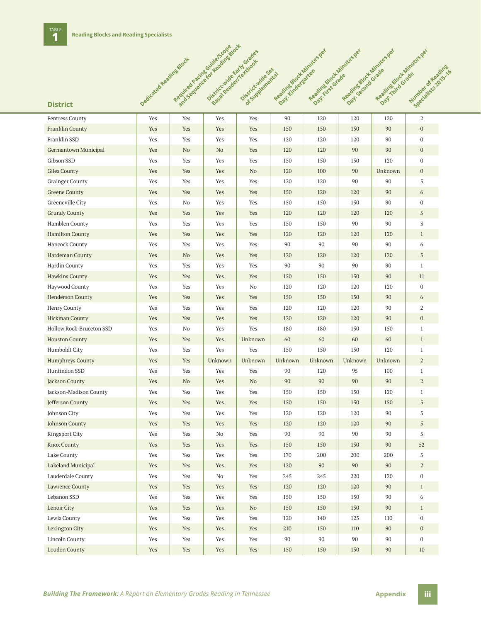|                          |                         |                               | Required Pacification and this and<br>Districtivide Early Grades |                               | Readinghout Minikes per | Reading Northinites per | Regalites block Minikes per | Regalized of Minikes per |                                  |
|--------------------------|-------------------------|-------------------------------|------------------------------------------------------------------|-------------------------------|-------------------------|-------------------------|-----------------------------|--------------------------|----------------------------------|
|                          | Dedicated Reading Stock |                               | Sessitesder/ertoot                                               | Distribution of Sex of        |                         |                         | Day: Second Grade           |                          |                                  |
|                          |                         |                               |                                                                  |                               | Day: Lindergrence       | Day: First Grade        |                             | Day: This Grade          | Number of Read<br>Specialists in |
|                          |                         |                               |                                                                  |                               |                         |                         |                             |                          |                                  |
| <b>District</b>          |                         |                               |                                                                  |                               |                         |                         |                             |                          |                                  |
| <b>Fentress County</b>   | Yes                     | Yes                           | Yes                                                              | Yes                           | 90                      | 120                     | 120                         | 120                      | $\overline{2}$                   |
| <b>Franklin County</b>   | Yes                     | Yes                           | Yes                                                              | Yes                           | 150                     | 150                     | 150                         | 90                       | $\boldsymbol{0}$                 |
| Franklin SSD             | Yes                     | Yes                           | Yes                                                              | Yes                           | 120                     | 120                     | 120                         | 90                       | $\mathbf{0}$                     |
| Germantown Municipal     | Yes                     | No                            | N <sub>o</sub>                                                   | Yes                           | 120                     | 120                     | 90                          | 90                       | $\boldsymbol{0}$                 |
| Gibson SSD               | Yes                     | Yes                           | Yes                                                              | Yes                           | 150                     | 150                     | 150                         | 120                      | $\boldsymbol{0}$                 |
| <b>Giles County</b>      | Yes                     | Yes                           | Yes                                                              | N <sub>o</sub>                | 120                     | 100                     | 90                          | Unknown                  | $\mathbf{0}$                     |
| <b>Grainger County</b>   | Yes                     | Yes                           | Yes                                                              | Yes                           | 120                     | 120                     | 90                          | 90                       | 5                                |
| <b>Greene County</b>     | Yes                     | Yes                           | Yes                                                              | Yes                           | 150                     | 120                     | 120                         | 90                       | 6                                |
| Greeneville City         | Yes                     | No                            | Yes                                                              | Yes                           | 150                     | 150                     | 150                         | 90                       | $\mathbf{0}$                     |
| <b>Grundy County</b>     | Yes                     | Yes                           | Yes                                                              | Yes                           | 120                     | 120                     | 120                         | 120                      | 5                                |
| Hamblen County           | Yes                     | Yes                           | Yes                                                              | Yes                           | 150                     | 150                     | 90                          | 90                       | 3                                |
| <b>Hamilton County</b>   | Yes                     | Yes                           | Yes                                                              | Yes                           | 120                     | 120                     | 120                         | 120                      | $\mathbf{1}$                     |
| <b>Hancock County</b>    | Yes                     | Yes                           | Yes                                                              | Yes                           | 90                      | 90                      | 90                          | 90                       | 6                                |
| Hardeman County          | Yes                     | No                            | Yes                                                              | Yes                           | 120                     | 120                     | 120                         | 120                      | 5                                |
| Hardin County            | Yes                     | Yes                           | Yes                                                              | Yes                           | 90                      | 90                      | 90                          | 90                       | $\mathbf{1}$                     |
| Hawkins County           | Yes                     | Yes                           | Yes                                                              | Yes                           | 150                     | 150                     | 150                         | 90                       | 11                               |
| Haywood County           | Yes                     | Yes                           | Yes                                                              | No                            | 120                     | 120                     | 120                         | 120                      | $\mathbf{0}$                     |
| <b>Henderson County</b>  | Yes                     | Yes                           | Yes                                                              | Yes                           | 150                     | 150                     | 150                         | 90                       | 6                                |
| Henry County             | Yes                     | Yes                           | Yes                                                              | Yes                           | 120                     | 120                     | 120                         | 90                       | 2                                |
| <b>Hickman County</b>    | Yes                     | Yes                           | Yes                                                              | Yes                           | 120                     | 120                     | 120                         | 90                       | $\mathbf{0}$                     |
| Hollow Rock-Bruceton SSD | Yes                     | No                            | Yes                                                              | Yes                           | 180                     | 180                     | 150                         | 150                      | $\mathbf{1}$                     |
| <b>Houston County</b>    | Yes                     | Yes                           | Yes                                                              | Unknown                       | 60                      | 60                      | 60                          | 60                       | $\mathbf{1}$                     |
| Humboldt City            | Yes                     | Yes                           | Yes                                                              | Yes                           | 150                     | 150                     | 150                         | 120                      | $\mathbf{1}$                     |
| <b>Humphreys County</b>  | Yes                     | Yes                           | Unknown                                                          | Unknown                       | Unknown                 | Unknown                 | Unknown                     | Unknown                  | $\mathbf{2}$                     |
| Huntindon SSD            | Yes                     | Yes                           | Yes                                                              | Yes                           | 90                      | 120                     | 95                          | 100                      | $\mathbf{1}$                     |
| Jackson County           | Yes                     | No                            | Yes                                                              | No                            | 90                      | 90                      | 90                          | 90                       | $\overline{2}$                   |
| Jackson-Madison County   | Yes                     | Yes                           | Yes                                                              | Yes                           | 150                     | 150                     | 150                         | 120                      | $\mathbf{1}$                     |
| Jefferson County         | Yes                     | Yes                           | Yes                                                              | $\operatorname{\mathsf{Yes}}$ | 150                     | 150                     | 150                         | 150                      | 5                                |
| Johnson City             | Yes                     | Yes                           | Yes                                                              | Yes                           | 120                     | 120                     | 120                         | 90                       | 5                                |
| Johnson County           | Yes                     | Yes                           | Yes                                                              | Yes                           | 120                     | 120                     | 120                         | 90                       | 5                                |
| Kingsport City           | Yes                     | Yes                           | No                                                               | Yes                           | 90                      | 90                      | 90                          | 90                       | 5                                |
| <b>Knox County</b>       | Yes                     | Yes                           | Yes                                                              | Yes                           | 150                     | 150                     | 150                         | 90                       | 52                               |
| Lake County              | Yes                     | Yes                           | Yes                                                              | Yes                           | 170                     | 200                     | 200                         | 200                      | 5                                |
| Lakeland Municipal       | Yes                     | Yes                           | Yes                                                              | Yes                           | 120                     | 90                      | 90                          | 90                       | $\overline{a}$                   |
| Lauderdale County        | Yes                     | Yes                           | No                                                               | Yes                           | 245                     | 245                     | 220                         | 120                      | $\boldsymbol{0}$                 |
| <b>Lawrence County</b>   | Yes                     | Yes                           | Yes                                                              | Yes                           | 120                     | 120                     | 120                         | 90                       | $\mathbf{1}$                     |
| Lebanon SSD              | Yes                     | Yes                           | Yes                                                              | Yes                           | 150                     | 150                     | 150                         | 90                       | 6                                |
| Lenoir City              | Yes                     | Yes                           | Yes                                                              | $\rm No$                      | 150                     | 150                     | 150                         | 90                       | $\mathbf{1}$                     |
| Lewis County             | Yes                     | $\operatorname{\mathsf{Yes}}$ | Yes                                                              | Yes                           | 120                     | 140                     | 125                         | 110                      | $\boldsymbol{0}$                 |
| Lexington City           | Yes                     | Yes                           | Yes                                                              | Yes                           | 210                     | 150                     | 110                         | 90                       | $\mathbf{0}$                     |
| <b>Lincoln County</b>    | Yes                     | Yes                           | Yes                                                              | $\operatorname{Yes}$          | 90                      | 90                      | 90                          | 90                       | $\bf{0}$                         |
| <b>Loudon County</b>     | Yes                     | Yes                           | Yes                                                              | Yes                           | 150                     | 150                     | 150                         | 90                       | 10                               |

**Required Pacific Guide/Scope Book**<br>Required Bracing Guide and Block and

**Number of Reading Commission**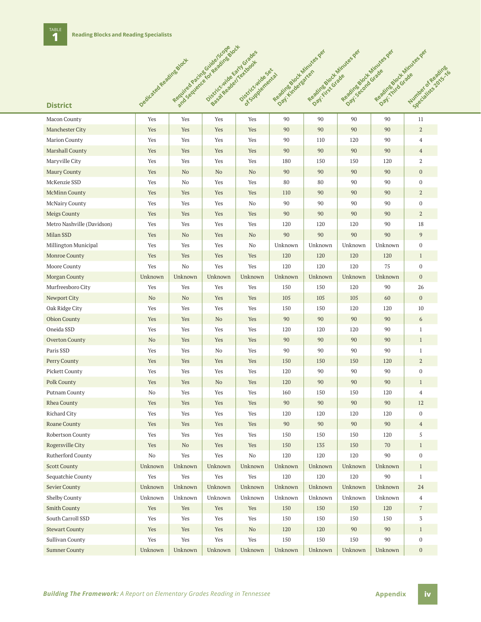|                            |                         | Required Aschesore and Bandwest | Districtivité carificades |                      | Regalize to de Minutes per | Reading Dock Minukes per | Reading Doct Minutes per | Regalized out Minutes per |                                     |
|----------------------------|-------------------------|---------------------------------|---------------------------|----------------------|----------------------------|--------------------------|--------------------------|---------------------------|-------------------------------------|
|                            | Dedicated Reading Stock |                                 | See of Registrations      | Districtivide Sexial |                            |                          | Day: second Grade        |                           |                                     |
|                            |                         |                                 |                           |                      | Day: Hindergreen           | Day-First Grade          |                          | Day: This Grade           | Number of Reading<br>Specialists on |
|                            |                         |                                 |                           |                      |                            |                          |                          |                           |                                     |
| <b>District</b>            |                         |                                 |                           |                      |                            |                          |                          |                           |                                     |
| Macon County               | Yes                     | Yes                             | Yes                       | Yes                  | 90                         | 90                       | 90                       | 90                        | 11                                  |
| Manchester City            | Yes                     | Yes                             | Yes                       | Yes                  | 90                         | 90                       | 90                       | 90                        | $\overline{a}$                      |
| <b>Marion County</b>       | Yes                     | Yes                             | Yes                       | Yes                  | 90                         | 110                      | 120                      | 90                        | 4                                   |
| Marshall County            | Yes                     | Yes                             | Yes                       | Yes                  | 90                         | 90                       | 90                       | 90                        | $\overline{4}$                      |
| Maryville City             | Yes                     | Yes                             | Yes                       | Yes                  | 180                        | 150                      | 150                      | 120                       | $\overline{2}$                      |
| Maury County               | Yes                     | N <sub>o</sub>                  | No                        | No                   | 90                         | 90                       | 90                       | 90                        | $\boldsymbol{0}$                    |
| McKenzie SSD               | Yes                     | No                              | Yes                       | Yes                  | 80                         | 80                       | 90                       | 90                        | $\mathbf{0}$                        |
| <b>McMinn County</b>       | Yes                     | Yes                             | Yes                       | Yes                  | 110                        | 90                       | 90                       | 90                        | $\overline{a}$                      |
| McNairy County             | Yes                     | Yes                             | Yes                       | No                   | 90                         | 90                       | 90                       | 90                        | $\overline{0}$                      |
| Meigs County               | Yes                     | Yes                             | Yes                       | Yes                  | 90                         | 90                       | 90                       | 90                        | 2                                   |
| Metro Nashville (Davidson) | Yes                     | Yes                             | Yes                       | Yes                  | 120                        | 120                      | 120                      | 90                        | 18                                  |
| Milan SSD                  | Yes                     | No                              | Yes                       | N <sub>o</sub>       | 90                         | 90                       | 90                       | 90                        | 9                                   |
| Millington Municipal       | Yes                     | Yes                             | Yes                       | No                   | Unknown                    | Unknown                  | Unknown                  | Unknown                   | $\overline{0}$                      |
| Monroe County              | Yes                     | Yes                             | Yes                       | Yes                  | 120                        | 120                      | 120                      | 120                       | $\mathbf{1}$                        |
| Moore County               | Yes                     | No                              | Yes                       | Yes                  | 120                        | 120                      | 120                      | 75                        | $\mathbf{0}$                        |
| Morgan County              | Unknown                 | Unknown                         | Unknown                   | Unknown              | Unknown                    | Unknown                  | Unknown                  | Unknown                   | $\overline{0}$                      |
| Murfreesboro City          | Yes                     | Yes                             | Yes                       | Yes                  | 150                        | 150                      | 120                      | 90                        | 26                                  |
| Newport City               | No                      | No                              | Yes                       | Yes                  | 105                        | 105                      | 105                      | 60                        | $\overline{0}$                      |
| Oak Ridge City             | Yes                     | Yes                             | Yes                       | Yes                  | 150                        | 150                      | 120                      | 120                       | 10                                  |
| <b>Obion County</b>        | Yes                     | Yes                             | N <sub>o</sub>            | Yes                  | 90                         | 90                       | 90                       | 90                        | 6                                   |
| Oneida SSD                 | Yes                     | Yes                             | Yes                       | Yes                  | 120                        | 120                      | 120                      | 90                        | $\mathbf{1}$                        |
| Overton County             | No                      | Yes                             | Yes                       | Yes                  | 90                         | 90                       | 90                       | 90                        | $\mathbf{1}$                        |
| Paris SSD                  | Yes                     | Yes                             | No                        | Yes                  | 90                         | 90                       | 90                       | 90                        | $\mathbf{1}$                        |
| Perry County               | Yes                     | Yes                             | Yes                       | Yes                  | 150                        | 150                      | 150                      | 120                       | $\mathbf{2}$                        |
| Pickett County             | Yes                     | Yes                             | Yes                       | Yes                  | 120                        | 90                       | 90                       | 90                        | $\overline{0}$                      |
| <b>Polk County</b>         | Yes                     | Yes                             | N <sub>o</sub>            | Yes                  | 120                        | 90                       | 90                       | 90                        | $\mathbf{1}$                        |
| Putnam County              | No                      | Yes                             | Yes                       | Yes                  | 160                        | 150                      | 150                      | 120                       | 4                                   |
| Rhea County                | Yes                     | Yes                             | Yes                       | Yes                  | 90                         | 90                       | 90                       | 90                        | 12                                  |
| Richard City               | Yes                     | Yes                             | Yes                       | Yes                  | 120                        | 120                      | 120                      | 120                       | $\overline{0}$                      |
| Roane County               | Yes                     | Yes                             | Yes                       | Yes                  | 90                         | 90                       | 90                       | 90                        | $\overline{4}$                      |
| Robertson County           | Yes                     | Yes                             | Yes                       | Yes                  | 150                        | 150                      | 150                      | 120                       | 5                                   |
| Rogersville City           | Yes                     | N <sub>o</sub>                  | Yes                       | Yes                  | 150                        | 135                      | 150                      | 70                        | $\mathbf{1}$                        |
| Rutherford County          | No                      | Yes                             | Yes                       | No                   | 120                        | 120                      | 120                      | 90                        | $\mathbf{0}$                        |
| <b>Scott County</b>        | Unknown                 | Unknown                         | Unknown                   | Unknown              | Unknown                    | Unknown                  | Unknown                  | Unknown                   | $\mathbf{1}$                        |
| Sequatchie County          | Yes                     | Yes                             | Yes                       | Yes                  | 120                        | 120                      | 120                      | 90                        | $\mathbf{1}$                        |
| Sevier County              | Unknown                 | Unknown                         | Unknown                   | Unknown              | Unknown                    | Unknown                  | Unknown                  | Unknown                   | 24                                  |
| Shelby County              | Unknown                 | Unknown                         | Unknown                   | Unknown              | Unknown                    | Unknown                  | Unknown                  | Unknown                   | $\overline{4}$                      |
| <b>Smith County</b>        | Yes                     | Yes                             | Yes                       | Yes                  | 150                        | 150                      | 150                      | 120                       | $\overline{7}$                      |
| South Carroll SSD          | Yes                     | Yes                             | Yes                       | Yes                  | 150                        | 150                      | 150                      | 150                       | 3                                   |
| <b>Stewart County</b>      | Yes                     | Yes                             | Yes                       | $\rm No$             | 120                        | 120                      | 90                       | 90                        | $\mathbf{1}$                        |
| <b>Sullivan County</b>     | Yes                     | Yes                             | Yes                       | Yes                  | 150                        | 150                      | 150                      | 90                        | $\mathbf{0}$                        |
| <b>Sumner County</b>       | Unknown                 | Unknown                         | Unknown                   | Unknown              | Unknown                    | Unknown                  | Unknown                  | Unknown                   | $\boldsymbol{0}$                    |
|                            |                         |                                 |                           |                      |                            |                          |                          |                           |                                     |

Required Required Pacific For Reading Block<br>Required Brack Box Reading Block<br>Pacific Scope Pacific For Reading

**Number of Reading A**<br>**Augustabes 2015**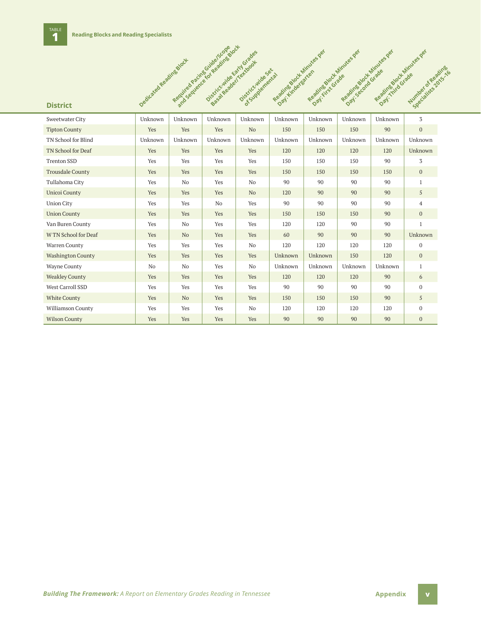| <b>District</b>          | Dedicated Reading Block | Required package in the advised box | Districtmine can y Grades<br>Basa Readerications | Districtatide Sex at | Regalizable to Minutes per | Reading Block Minutes der<br>Day: First Grate | Reading Block Minutes Jer<br>Day: Second Grade |         | Regalization Grade Residence<br>Number of Reading<br>Specialists Toking |
|--------------------------|-------------------------|-------------------------------------|--------------------------------------------------|----------------------|----------------------------|-----------------------------------------------|------------------------------------------------|---------|-------------------------------------------------------------------------|
| Sweetwater City          | Unknown                 | Unknown                             | Unknown                                          | Unknown              | Unknown                    | Unknown                                       | Unknown                                        | Unknown | 3                                                                       |
| <b>Tipton County</b>     | Yes                     | Yes                                 | Yes                                              | No                   | 150                        | 150                                           | 150                                            | 90      | $\overline{0}$                                                          |
| TN School for Blind      | Unknown                 | Unknown                             | Unknown                                          | Unknown              | Unknown                    | Unknown                                       | Unknown                                        | Unknown | Unknown                                                                 |
| TN School for Deaf       | Yes                     | Yes                                 | Yes                                              | Yes                  | 120                        | 120                                           | 120                                            | 120     | Unknown                                                                 |
| <b>Trenton SSD</b>       | Yes                     | Yes                                 | Yes                                              | Yes                  | 150                        | 150                                           | 150                                            | 90      | 3                                                                       |
| <b>Trousdale County</b>  | Yes                     | Yes                                 | Yes                                              | Yes                  | 150                        | 150                                           | 150                                            | 150     | $\mathbf{0}$                                                            |
| Tullahoma City           | Yes                     | No                                  | Yes                                              | No                   | 90                         | 90                                            | 90                                             | 90      | $\mathbf{1}$                                                            |
| <b>Unicoi County</b>     | Yes                     | Yes                                 | Yes                                              | N <sub>o</sub>       | 120                        | 90                                            | 90                                             | 90      | 5                                                                       |
| <b>Union City</b>        | Yes                     | Yes                                 | No                                               | Yes                  | 90                         | 90                                            | 90                                             | 90      | $\overline{4}$                                                          |
| <b>Union County</b>      | Yes                     | Yes                                 | Yes                                              | Yes                  | 150                        | 150                                           | 150                                            | 90      | $\mathbf{0}$                                                            |
| Van Buren County         | Yes                     | No                                  | Yes                                              | Yes                  | 120                        | 120                                           | 90                                             | 90      | $\mathbf{1}$                                                            |
| W TN School for Deaf     | Yes                     | N <sub>o</sub>                      | Yes                                              | Yes                  | 60                         | 90                                            | 90                                             | 90      | Unknown                                                                 |
| Warren County            | Yes                     | Yes                                 | Yes                                              | No                   | 120                        | 120                                           | 120                                            | 120     | $\bf{0}$                                                                |
| <b>Washington County</b> | Yes                     | Yes                                 | Yes                                              | Yes                  | Unknown                    | Unknown                                       | 150                                            | 120     | $\mathbf{0}$                                                            |
| <b>Wayne County</b>      | No                      | No                                  | Yes                                              | No                   | Unknown                    | Unknown                                       | Unknown                                        | Unknown | $\mathbf{1}$                                                            |
| <b>Weakley County</b>    | Yes                     | Yes                                 | Yes                                              | Yes                  | 120                        | 120                                           | 120                                            | 90      | 6                                                                       |
| West Carroll SSD         | Yes                     | Yes                                 | Yes                                              | Yes                  | 90                         | 90                                            | 90                                             | 90      | $\mathbf{0}$                                                            |
| <b>White County</b>      | Yes                     | N <sub>o</sub>                      | Yes                                              | Yes                  | 150                        | 150                                           | 150                                            | 90      | 5                                                                       |
| Williamson County        | Yes                     | Yes                                 | Yes                                              | No                   | 120                        | 120                                           | 120                                            | 120     | $\mathbf 0$                                                             |
| <b>Wilson County</b>     | Yes                     | Yes                                 | Yes                                              | Yes                  | 90                         | 90                                            | 90                                             | 90      | $\mathbf{0}$                                                            |

### **Building The Framework:** A Report on Elementary Grades Reading in Tennessee **Appendix Appendix v**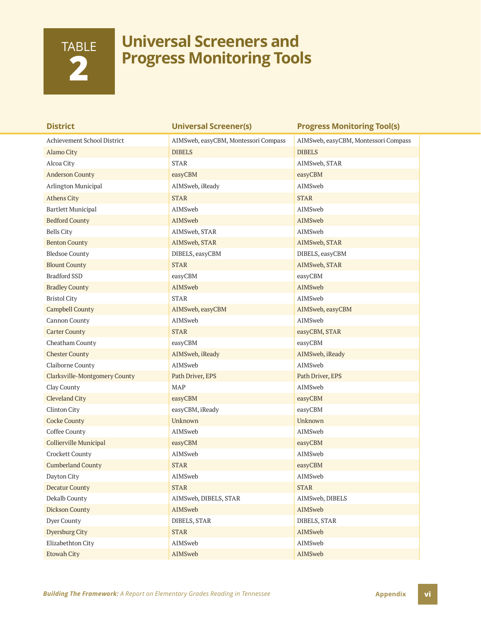## TABLE **2**

### **Universal Screeners and Progress Monitoring Tools**

| <b>District</b>               | <b>Universal Screener(s)</b>         | <b>Progress Monitoring Tool(s)</b>   |
|-------------------------------|--------------------------------------|--------------------------------------|
| Achievement School District   | AIMSweb, easyCBM, Montessori Compass | AIMSweb, easyCBM, Montessori Compass |
| Alamo City                    | <b>DIBELS</b>                        | <b>DIBELS</b>                        |
| Alcoa City                    | <b>STAR</b>                          | AIMSweb, STAR                        |
| <b>Anderson County</b>        | easyCBM                              | easyCBM                              |
| Arlington Municipal           | AIMSweb, iReady                      | AIMSweb                              |
| <b>Athens City</b>            | <b>STAR</b>                          | <b>STAR</b>                          |
| <b>Bartlett Municipal</b>     | AIMSweb                              | AIMSweb                              |
| <b>Bedford County</b>         | AIMSweb                              | AIMSweb                              |
| <b>Bells City</b>             | AIMSweb, STAR                        | AIMSweb                              |
| <b>Benton County</b>          | AIMSweb, STAR                        | AIMSweb, STAR                        |
| <b>Bledsoe County</b>         | DIBELS, easyCBM                      | DIBELS, easyCBM                      |
| <b>Blount County</b>          | <b>STAR</b>                          | AIMSweb, STAR                        |
| <b>Bradford SSD</b>           | easyCBM                              | easyCBM                              |
| <b>Bradley County</b>         | AIMSweb                              | AIMSweb                              |
| <b>Bristol City</b>           | <b>STAR</b>                          | AIMSweb                              |
| <b>Campbell County</b>        | AIMSweb, easyCBM                     | AIMSweb, easyCBM                     |
| Cannon County                 | AIMSweb                              | AIMSweb                              |
| <b>Carter County</b>          | <b>STAR</b>                          | easyCBM, STAR                        |
| Cheatham County               | easyCBM                              | easyCBM                              |
| <b>Chester County</b>         | AIMSweb, iReady                      | AIMSweb, iReady                      |
| Claiborne County              | AIMSweb                              | AIMSweb                              |
| Clarksville-Montgomery County | Path Driver, EPS                     | Path Driver, EPS                     |
| Clay County                   | <b>MAP</b>                           | AIMSweb                              |
| <b>Cleveland City</b>         | easyCBM                              | easyCBM                              |
| Clinton City                  | easyCBM, iReady                      | easyCBM                              |
| <b>Cocke County</b>           | Unknown                              | Unknown                              |
| Coffee County                 | AIMSweb                              | AIMSweb                              |
| Collierville Municipal        | easyCBM                              | easyCBM                              |
| Crockett County               | AIMSweb                              | AIMSweb                              |
| <b>Cumberland County</b>      | <b>STAR</b>                          | easyCBM                              |
| Dayton City                   | AIMSweb                              | AIMSweb                              |
| <b>Decatur County</b>         | <b>STAR</b>                          | <b>STAR</b>                          |
| Dekalb County                 | AIMSweb, DIBELS, STAR                | AIMSweb, DIBELS                      |
| <b>Dickson County</b>         | AIMSweb                              | AIMSweb                              |
| Dyer County                   | DIBELS, STAR                         | DIBELS, STAR                         |
| Dyersburg City                | <b>STAR</b>                          | AIMSweb                              |
| Elizabethton City             | AIMSweb                              | AIMSweb                              |
| <b>Etowah City</b>            | AIMSweb                              | AIMSweb                              |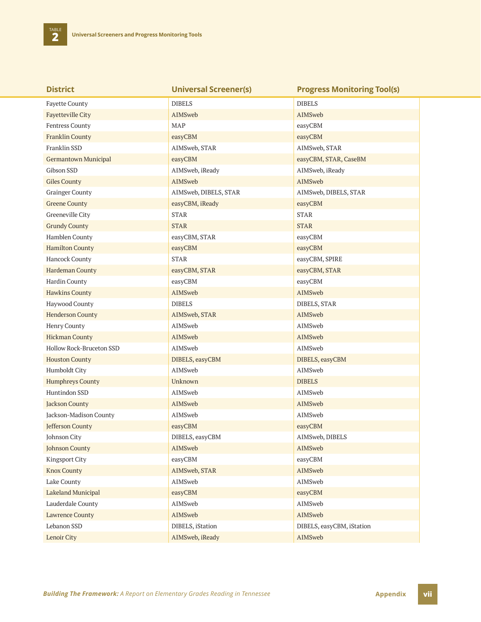**TABLE** 

| <b>District</b>             | <b>Universal Screener(s)</b> | <b>Progress Monitoring Tool(s)</b> |
|-----------------------------|------------------------------|------------------------------------|
| <b>Fayette County</b>       | <b>DIBELS</b>                | <b>DIBELS</b>                      |
| <b>Fayetteville City</b>    | AIMSweb                      | AIMSweb                            |
| Fentress County             | MAP                          | easyCBM                            |
| <b>Franklin County</b>      | easyCBM                      | easyCBM                            |
| Franklin SSD                | AIMSweb, STAR                | AIMSweb, STAR                      |
| <b>Germantown Municipal</b> | easyCBM                      | easyCBM, STAR, CaseBM              |
| Gibson SSD                  | AIMSweb, iReady              | AIMSweb, iReady                    |
| <b>Giles County</b>         | AIMSweb                      | AIMSweb                            |
| <b>Grainger County</b>      | AIMSweb, DIBELS, STAR        | AIMSweb, DIBELS, STAR              |
| <b>Greene County</b>        | easyCBM, iReady              | easyCBM                            |
| Greeneville City            | <b>STAR</b>                  | <b>STAR</b>                        |
| <b>Grundy County</b>        | <b>STAR</b>                  | <b>STAR</b>                        |
| Hamblen County              | easyCBM, STAR                | easyCBM                            |
| <b>Hamilton County</b>      | easyCBM                      | easyCBM                            |
| Hancock County              | <b>STAR</b>                  | easyCBM, SPIRE                     |
| Hardeman County             | easyCBM, STAR                | easyCBM, STAR                      |
| Hardin County               | easyCBM                      | easyCBM                            |
| <b>Hawkins County</b>       | AIMSweb                      | AIMSweb                            |
| Haywood County              | <b>DIBELS</b>                | DIBELS, STAR                       |
| <b>Henderson County</b>     | AIMSweb, STAR                | AIMSweb                            |
| Henry County                | AIMSweb                      | AIMSweb                            |
| <b>Hickman County</b>       | AIMSweb                      | AIMSweb                            |
| Hollow Rock-Bruceton SSD    | AIMSweb                      | AIMSweb                            |
| <b>Houston County</b>       | DIBELS, easyCBM              | DIBELS, easyCBM                    |
| Humboldt City               | AIMSweb                      | AIMSweb                            |
| <b>Humphreys County</b>     | Unknown                      | <b>DIBELS</b>                      |
| Huntindon SSD               | AIMSweb                      | AIMSweb                            |
| <b>Jackson County</b>       | AIMSweb                      | AIMSweb                            |
| Jackson-Madison County      | AIMSweb                      | AIMSweb                            |
| Jefferson County            | easyCBM                      | easyCBM                            |
| Johnson City                | DIBELS, easyCBM              | AIMSweb, DIBELS                    |
| <b>Johnson County</b>       | AIMSweb                      | AIMSweb                            |
| Kingsport City              | easyCBM                      | easyCBM                            |
| <b>Knox County</b>          | AIMSweb, STAR                | AIMSweb                            |
| Lake County                 | AIMSweb                      | AIMSweb                            |
| Lakeland Municipal          | easyCBM                      | easyCBM                            |
| Lauderdale County           | AIMSweb                      | AIMSweb                            |
| <b>Lawrence County</b>      | AIMSweb                      | AIMSweb                            |
| Lebanon SSD                 | DIBELS, iStation             | DIBELS, easyCBM, iStation          |
| Lenoir City                 | AIMSweb, iReady              | AIMSweb                            |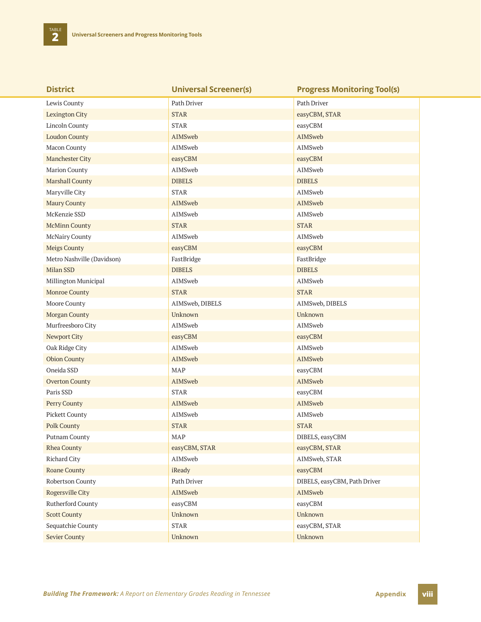| <b>District</b>            | <b>Universal Screener(s)</b> | <b>Progress Monitoring Tool(s)</b> |
|----------------------------|------------------------------|------------------------------------|
| Lewis County               | Path Driver                  | Path Driver                        |
| <b>Lexington City</b>      | <b>STAR</b>                  | easyCBM, STAR                      |
| <b>Lincoln County</b>      | <b>STAR</b>                  | easyCBM                            |
| <b>Loudon County</b>       | AIMSweb                      | AIMSweb                            |
| Macon County               | AIMSweb                      | AIMSweb                            |
| Manchester City            | easyCBM                      | easyCBM                            |
| Marion County              | AIMSweb                      | AIMSweb                            |
| Marshall County            | <b>DIBELS</b>                | <b>DIBELS</b>                      |
| Maryville City             | <b>STAR</b>                  | AIMSweb                            |
| <b>Maury County</b>        | AIMSweb                      | AIMSweb                            |
| McKenzie SSD               | AIMSweb                      | AIMSweb                            |
| <b>McMinn County</b>       | <b>STAR</b>                  | <b>STAR</b>                        |
| McNairy County             | AIMSweb                      | AIMSweb                            |
| <b>Meigs County</b>        | easyCBM                      | easyCBM                            |
| Metro Nashville (Davidson) | FastBridge                   | FastBridge                         |
| Milan SSD                  | <b>DIBELS</b>                | <b>DIBELS</b>                      |
| Millington Municipal       | AIMSweb                      | AIMSweb                            |
| <b>Monroe County</b>       | <b>STAR</b>                  | <b>STAR</b>                        |
| Moore County               | AIMSweb, DIBELS              | AIMSweb, DIBELS                    |
| Morgan County              | Unknown                      | Unknown                            |
| Murfreesboro City          | AIMSweb                      | AIMSweb                            |
| Newport City               | easyCBM                      | easyCBM                            |
| Oak Ridge City             | AIMSweb                      | AIMSweb                            |
| <b>Obion County</b>        | AIMSweb                      | AIMSweb                            |
| Oneida SSD                 | <b>MAP</b>                   | easyCBM                            |
| <b>Overton County</b>      | AIMSweb                      | AIMSweb                            |
| Paris SSD                  | <b>STAR</b>                  | easyCBM                            |
| Perry County               | AIMSweb                      | <b>AIMSweb</b>                     |
| Pickett County             | AIMSweb                      | AIMSweb                            |
| <b>Polk County</b>         | <b>STAR</b>                  | <b>STAR</b>                        |
| Putnam County              | <b>MAP</b>                   | DIBELS, easyCBM                    |
| <b>Rhea County</b>         | easyCBM, STAR                | easyCBM, STAR                      |
| Richard City               | AIMSweb                      | AIMSweb, STAR                      |
| Roane County               | iReady                       | easyCBM                            |
| Robertson County           | Path Driver                  | DIBELS, easyCBM, Path Driver       |
| Rogersville City           | AIMSweb                      | AIMSweb                            |
| Rutherford County          | easyCBM                      | easyCBM                            |
| <b>Scott County</b>        | Unknown                      | Unknown                            |
| Sequatchie County          | <b>STAR</b>                  | easyCBM, STAR                      |
| <b>Sevier County</b>       | Unknown                      | Unknown                            |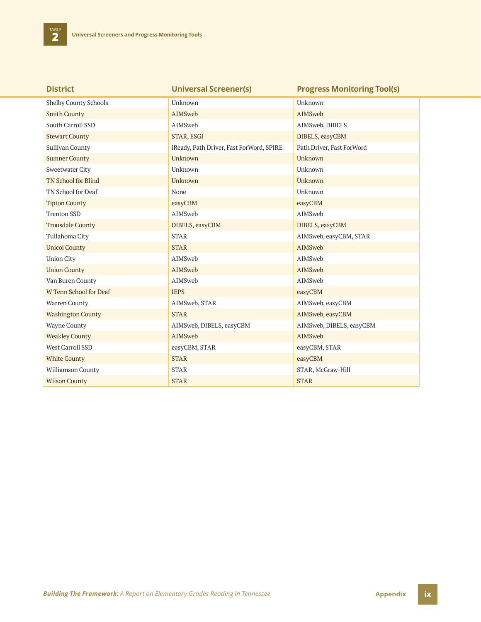| <b>District</b>              | <b>Universal Screener(s)</b>             | <b>Progress Monitoring Tool(s)</b> |
|------------------------------|------------------------------------------|------------------------------------|
| <b>Shelby County Schools</b> | Unknown                                  | Unknown                            |
| <b>Smith County</b>          | AIMSweb                                  | AIMSweb                            |
| South Carroll SSD            | AIMSweb                                  | AIMSweb, DIBELS                    |
| <b>Stewart County</b>        | STAR, ESGI                               | DIBELS, easyCBM                    |
| Sullivan County              | iReady, Path Driver, Fast ForWord, SPIRE | Path Driver, Fast ForWord          |
| <b>Sumner County</b>         | Unknown                                  | Unknown                            |
| <b>Sweetwater City</b>       | Unknown                                  | Unknown                            |
| <b>TN School for Blind</b>   | Unknown                                  | Unknown                            |
| TN School for Deaf           | None                                     | Unknown                            |
| <b>Tipton County</b>         | easyCBM                                  | easyCBM                            |
| <b>Trenton SSD</b>           | AIMSweb                                  | AIMSweb                            |
| <b>Trousdale County</b>      | DIBELS, easyCBM                          | DIBELS, easyCBM                    |
| Tullahoma City               | <b>STAR</b>                              | AIMSweb, easyCBM, STAR             |
| <b>Unicoi County</b>         | <b>STAR</b>                              | AIMSweb                            |
| <b>Union City</b>            | AIMSweb                                  | AIMSweb                            |
| <b>Union County</b>          | AIMSweb                                  | AIMSweb                            |
| Van Buren County             | AIMSweb                                  | AIMSweb                            |
| W Tenn School for Deaf       | <b>IEPS</b>                              | easyCBM                            |
| Warren County                | AIMSweb, STAR                            | AIMSweb, easyCBM                   |
| <b>Washington County</b>     | <b>STAR</b>                              | AIMSweb, easyCBM                   |
| <b>Wayne County</b>          | AIMSweb, DIBELS, easyCBM                 | AIMSweb, DIBELS, easyCBM           |
| <b>Weakley County</b>        | AIMSweb                                  | AIMSweb                            |
| West Carroll SSD             | easyCBM, STAR                            | easyCBM, STAR                      |
| <b>White County</b>          | <b>STAR</b>                              | easyCBM                            |
| <b>Williamson County</b>     | <b>STAR</b>                              | STAR, McGraw-Hill                  |
| <b>Wilson County</b>         | <b>STAR</b>                              | <b>STAR</b>                        |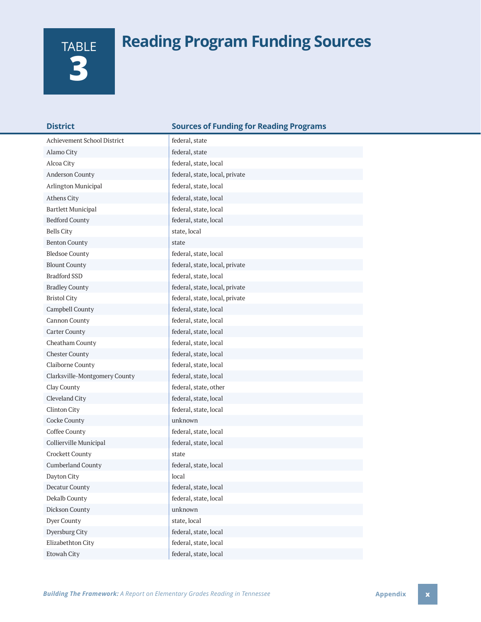## **Reading Program Funding Sources**

| TABLE |
|-------|
|       |
|       |

| <b>District</b>               | <b>Sources of Funding for Reading Programs</b> |
|-------------------------------|------------------------------------------------|
| Achievement School District   | federal, state                                 |
| Alamo City                    | federal, state                                 |
| Alcoa City                    | federal, state, local                          |
| Anderson County               | federal, state, local, private                 |
| Arlington Municipal           | federal, state, local                          |
| Athens City                   | federal, state, local                          |
| <b>Bartlett Municipal</b>     | federal, state, local                          |
| <b>Bedford County</b>         | federal, state, local                          |
| <b>Bells City</b>             | state, local                                   |
| <b>Benton County</b>          | state                                          |
| <b>Bledsoe County</b>         | federal, state, local                          |
| <b>Blount County</b>          | federal, state, local, private                 |
| <b>Bradford SSD</b>           | federal, state, local                          |
| <b>Bradley County</b>         | federal, state, local, private                 |
| <b>Bristol City</b>           | federal, state, local, private                 |
| Campbell County               | federal, state, local                          |
| Cannon County                 | federal, state, local                          |
| <b>Carter County</b>          | federal, state, local                          |
| Cheatham County               | federal, state, local                          |
| <b>Chester County</b>         | federal, state, local                          |
| Claiborne County              | federal, state, local                          |
| Clarksville-Montgomery County | federal, state, local                          |
| Clay County                   | federal, state, other                          |
| Cleveland City                | federal, state, local                          |
| Clinton City                  | federal, state, local                          |
| Cocke County                  | unknown                                        |
| Coffee County                 | federal, state, local                          |
| Collierville Municipal        | federal, state, local                          |
| Crockett County               | state                                          |
| <b>Cumberland County</b>      | federal, state, local                          |
| Dayton City                   | local                                          |
| Decatur County                | federal, state, local                          |
| Dekalb County                 | federal, state, local                          |
| Dickson County                | unknown                                        |
| Dyer County                   | state, local                                   |
| Dyersburg City                | federal, state, local                          |
| Elizabethton City             | federal, state, local                          |
| Etowah City                   | federal, state, local                          |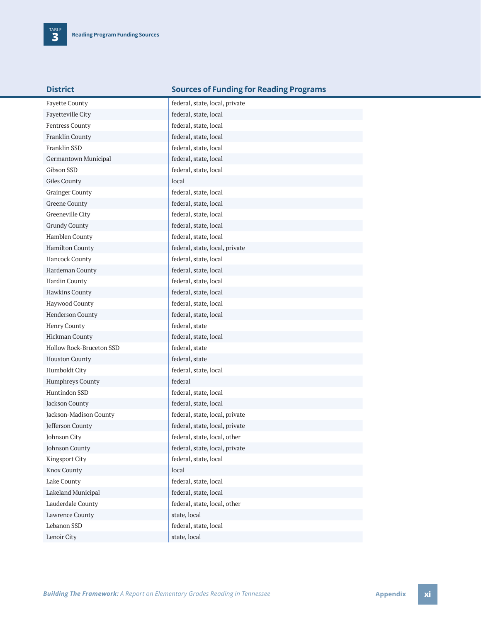| District |  |  |
|----------|--|--|
|          |  |  |

### **Sources of Funding for Reading Programs**

| <b>Fayette County</b>    | federal, state, local, private |
|--------------------------|--------------------------------|
| Fayetteville City        | federal, state, local          |
| Fentress County          | federal, state, local          |
| Franklin County          | federal, state, local          |
| Franklin SSD             | federal, state, local          |
| Germantown Municipal     | federal, state, local          |
| Gibson SSD               | federal, state, local          |
| Giles County             | local                          |
| <b>Grainger County</b>   | federal, state, local          |
| <b>Greene County</b>     | federal, state, local          |
| Greeneville City         | federal, state, local          |
| <b>Grundy County</b>     | federal, state, local          |
| Hamblen County           | federal, state, local          |
| Hamilton County          | federal, state, local, private |
| Hancock County           | federal, state, local          |
| Hardeman County          | federal, state, local          |
| Hardin County            | federal, state, local          |
| Hawkins County           | federal, state, local          |
| Haywood County           | federal, state, local          |
| Henderson County         | federal, state, local          |
| Henry County             | federal, state                 |
| <b>Hickman County</b>    | federal, state, local          |
| Hollow Rock-Bruceton SSD | federal, state                 |
| <b>Houston County</b>    | federal, state                 |
| Humboldt City            | federal, state, local          |
| Humphreys County         | federal                        |
| Huntindon SSD            | federal, state, local          |
| Jackson County           | federal, state, local          |
| Jackson-Madison County   | federal, state, local, private |
| Jefferson County         | federal, state, local, private |
| Johnson City             | federal, state, local, other   |
| <b>Johnson County</b>    | federal, state, local, private |
| <b>Kingsport City</b>    | federal, state, local          |
| <b>Knox County</b>       | local                          |
| Lake County              | federal, state, local          |
| Lakeland Municipal       | federal, state, local          |
| Lauderdale County        | federal, state, local, other   |
| Lawrence County          | state, local                   |
| Lebanon SSD              | federal, state, local          |
| Lenoir City              | state, local                   |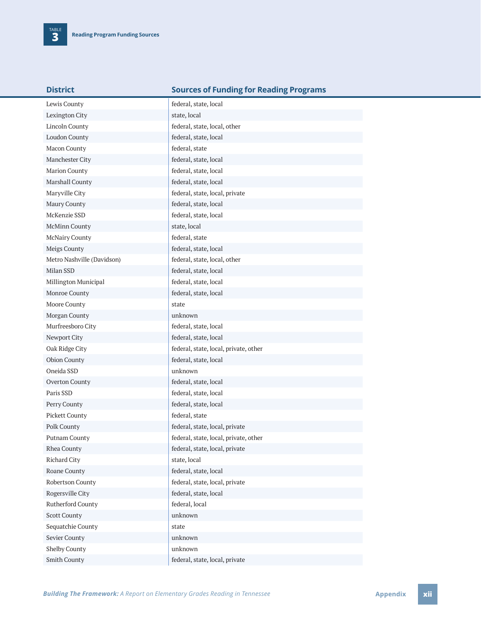| <b>District</b>            | <b>Sources of Funding for Reading Programs</b> |
|----------------------------|------------------------------------------------|
| Lewis County               | federal, state, local                          |
| Lexington City             | state, local                                   |
| <b>Lincoln County</b>      | federal, state, local, other                   |
| Loudon County              | federal, state, local                          |
| Macon County               | federal, state                                 |
| Manchester City            | federal, state, local                          |
| Marion County              | federal, state, local                          |
| Marshall County            | federal, state, local                          |
| Maryville City             | federal, state, local, private                 |
| Maury County               | federal, state, local                          |
| McKenzie SSD               | federal, state, local                          |
| McMinn County              | state, local                                   |
| McNairy County             | federal, state                                 |
| Meigs County               | federal, state, local                          |
| Metro Nashville (Davidson) | federal, state, local, other                   |
| Milan SSD                  | federal, state, local                          |
| Millington Municipal       | federal, state, local                          |
| Monroe County              | federal, state, local                          |
| Moore County               | state                                          |
| Morgan County              | unknown                                        |
| Murfreesboro City          | federal, state, local                          |
| Newport City               | federal, state, local                          |
| Oak Ridge City             | federal, state, local, private, other          |
| Obion County               | federal, state, local                          |
| Oneida SSD                 | unknown                                        |
| Overton County             | federal, state, local                          |
| Paris SSD                  | federal, state, local                          |
| Perry County               | federal, state, local                          |
| Pickett County             | federal, state                                 |
| Polk County                | federal, state, local, private                 |
| Putnam County              | federal, state, local, private, other          |
| Rhea County                | federal, state, local, private                 |
| Richard City               | state, local                                   |
| Roane County               | federal, state, local                          |
| Robertson County           | federal, state, local, private                 |
| Rogersville City           | federal, state, local                          |
| Rutherford County          | federal, local                                 |
| <b>Scott County</b>        | unknown                                        |
| Sequatchie County          | state                                          |
| Sevier County              | unknown                                        |
| Shelby County              | unknown                                        |
| Smith County               | federal, state, local, private                 |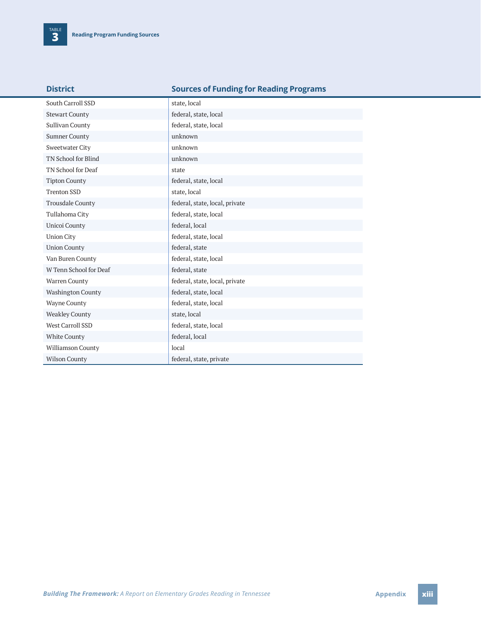| South Carroll SSD        | state, local                   |
|--------------------------|--------------------------------|
| <b>Stewart County</b>    | federal, state, local          |
| Sullivan County          | federal, state, local          |
| <b>Sumner County</b>     | unknown                        |
| <b>Sweetwater City</b>   | unknown                        |
| TN School for Blind      | unknown                        |
| TN School for Deaf       | state                          |
| <b>Tipton County</b>     | federal, state, local          |
| <b>Trenton SSD</b>       | state, local                   |
| <b>Trousdale County</b>  | federal, state, local, private |
| Tullahoma City           | federal, state, local          |
| Unicoi County            | federal, local                 |
| <b>Union City</b>        | federal, state, local          |
| <b>Union County</b>      | federal, state                 |
| Van Buren County         | federal, state, local          |
| W Tenn School for Deaf   | federal, state                 |
| Warren County            | federal, state, local, private |
| <b>Washington County</b> | federal, state, local          |
| <b>Wayne County</b>      | federal, state, local          |
| <b>Weakley County</b>    | state, local                   |
| West Carroll SSD         | federal, state, local          |
| White County             | federal, local                 |
| Williamson County        | local                          |
| <b>Wilson County</b>     | federal, state, private        |

**District Sources of Funding for Reading Programs**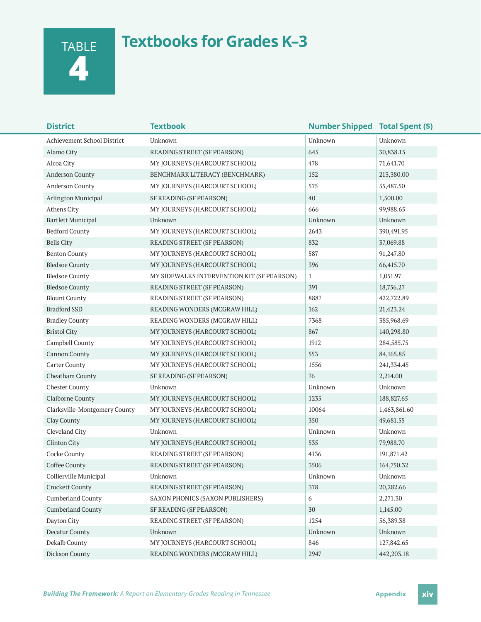TABLE **4**

### **Textbooks for Grades K–3**

| <b>District</b>               | <b>Textbook</b>                            | <b>Number Shipped Total Spent (\$)</b> |              |
|-------------------------------|--------------------------------------------|----------------------------------------|--------------|
| Achievement School District   | Unknown                                    | Unknown                                | Unknown      |
| Alamo City                    | READING STREET (SF PEARSON)                | 645                                    | 30,838.15    |
| Alcoa City                    | MY JOURNEYS (HARCOURT SCHOOL)              | 478                                    | 71,641.70    |
| Anderson County               | BENCHMARK LITERACY (BENCHMARK)             | 152                                    | 213,380.00   |
| <b>Anderson County</b>        | MY JOURNEYS (HARCOURT SCHOOL)              | 575                                    | 55,487.50    |
| Arlington Municipal           | SF READING (SF PEARSON)                    | 40                                     | 1,500.00     |
| Athens City                   | MY JOURNEYS (HARCOURT SCHOOL)              | 666                                    | 99,988.65    |
| <b>Bartlett Municipal</b>     | Unknown                                    | Unknown                                | Unknown      |
| <b>Bedford County</b>         | MY JOURNEYS (HARCOURT SCHOOL)              | 2643                                   | 390,491.95   |
| <b>Bells City</b>             | READING STREET (SF PEARSON)                | 832                                    | 37,069.88    |
| <b>Benton County</b>          | MY JOURNEYS (HARCOURT SCHOOL)              | 587                                    | 91,247.80    |
| <b>Bledsoe County</b>         | MY JOURNEYS (HARCOURT SCHOOL)              | 396                                    | 66,415.70    |
| <b>Bledsoe County</b>         | MY SIDEWALKS INTERVENTION KIT (SF PEARSON) | $\mathbf{1}$                           | 1,051.97     |
| <b>Bledsoe County</b>         | READING STREET (SF PEARSON)                | 391                                    | 18,756.27    |
| <b>Blount County</b>          | READING STREET (SF PEARSON)                | 8887                                   | 422,722.89   |
| <b>Bradford SSD</b>           | READING WONDERS (MCGRAW HILL)              | 162                                    | 21,423.24    |
| <b>Bradley County</b>         | READING WONDERS (MCGRAW HILL)              | 7368                                   | 385,968.69   |
| <b>Bristol City</b>           | MY JOURNEYS (HARCOURT SCHOOL)              | 867                                    | 140,298.80   |
| Campbell County               | MY JOURNEYS (HARCOURT SCHOOL)              | 1912                                   | 284,585.75   |
| <b>Cannon County</b>          | MY JOURNEYS (HARCOURT SCHOOL)              | 553                                    | 84, 165.85   |
| <b>Carter County</b>          | MY JOURNEYS (HARCOURT SCHOOL)              | 1556                                   | 241, 334. 45 |
| Cheatham County               | SF READING (SF PEARSON)                    | 76                                     | 2,214.00     |
| <b>Chester County</b>         | Unknown                                    | Unknown                                | Unknown      |
| Claiborne County              | MY JOURNEYS (HARCOURT SCHOOL)              | 1235                                   | 188,827.65   |
| Clarksville-Montgomery County | MY JOURNEYS (HARCOURT SCHOOL)              | 10064                                  | 1,463,861.60 |
| Clay County                   | MY JOURNEYS (HARCOURT SCHOOL)              | 350                                    | 49,681.55    |
| Cleveland City                | Unknown                                    | Unknown                                | Unknown      |
| <b>Clinton City</b>           | MY JOURNEYS (HARCOURT SCHOOL)              | 535                                    | 79,988.70    |
| Cocke County                  | READING STREET (SF PEARSON)                | 4136                                   | 191,871.42   |
| Coffee County                 | READING STREET (SF PEARSON)                | 3506                                   | 164,750.32   |
| Collierville Municipal        | Unknown                                    | Unknown                                | Unknown      |
| <b>Crockett County</b>        | READING STREET (SF PEARSON)                | 378                                    | 20,282.66    |
| Cumberland County             | SAXON PHONICS (SAXON PUBLISHERS)           | 6                                      | 2,271.30     |
| <b>Cumberland County</b>      | SF READING (SF PEARSON)                    | 30                                     | 1,145.00     |
| Dayton City                   | READING STREET (SF PEARSON)                | 1254                                   | 56,389.38    |
| Decatur County                | Unknown                                    | Unknown                                | Unknown      |
| Dekalb County                 | MY JOURNEYS (HARCOURT SCHOOL)              | 846                                    | 127,842.65   |
| Dickson County                | READING WONDERS (MCGRAW HILL)              | 2947                                   | 442,203.18   |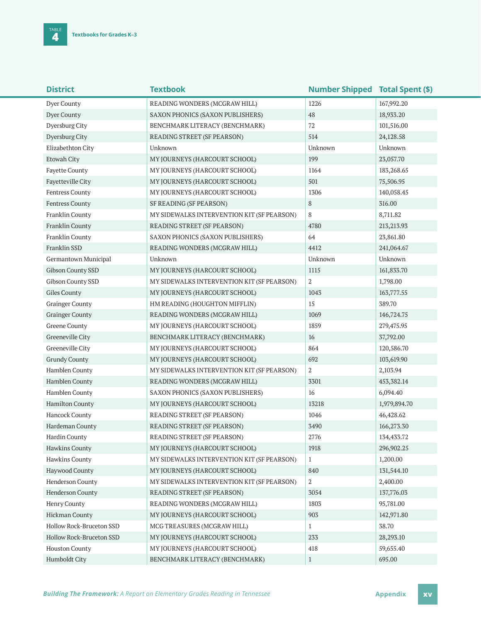| <b>District</b>          | <b>Textbook</b>                            | <b>Number Shipped Total Spent (\$)</b> |              |
|--------------------------|--------------------------------------------|----------------------------------------|--------------|
| Dyer County              | READING WONDERS (MCGRAW HILL)              | 1226                                   | 167,992.20   |
| Dyer County              | SAXON PHONICS (SAXON PUBLISHERS)           | 48                                     | 18,933.20    |
| Dyersburg City           | BENCHMARK LITERACY (BENCHMARK)             | 72                                     | 101,516.00   |
| Dyersburg City           | READING STREET (SF PEARSON)                | 514                                    | 24,128.58    |
| Elizabethton City        | Unknown                                    | Unknown                                | Unknown      |
| Etowah City              | MY JOURNEYS (HARCOURT SCHOOL)              | 199                                    | 23,057.70    |
| Fayette County           | MY JOURNEYS (HARCOURT SCHOOL)              | 1164                                   | 183,268.65   |
| Fayetteville City        | MY JOURNEYS (HARCOURT SCHOOL)              | 501                                    | 75,506.95    |
| Fentress County          | MY JOURNEYS (HARCOURT SCHOOL)              | 1306                                   | 140,058.45   |
| Fentress County          | SF READING (SF PEARSON)                    | 8                                      | 316.00       |
| Franklin County          | MY SIDEWALKS INTERVENTION KIT (SF PEARSON) | 8                                      | 8,711.82     |
| Franklin County          | READING STREET (SF PEARSON)                | 4780                                   | 213,213.93   |
| Franklin County          | SAXON PHONICS (SAXON PUBLISHERS)           | 64                                     | 23,861.80    |
| Franklin SSD             | READING WONDERS (MCGRAW HILL)              | 4412                                   | 241,064.67   |
| Germantown Municipal     | Unknown                                    | Unknown                                | Unknown      |
| Gibson County SSD        | MY JOURNEYS (HARCOURT SCHOOL)              | 1115                                   | 161,833.70   |
| Gibson County SSD        | MY SIDEWALKS INTERVENTION KIT (SF PEARSON) | $\boldsymbol{2}$                       | 1,798.00     |
| Giles County             | MY JOURNEYS (HARCOURT SCHOOL)              | 1043                                   | 163,777.55   |
| <b>Grainger County</b>   | HM READING (HOUGHTON MIFFLIN)              | 15                                     | 389.70       |
| <b>Grainger County</b>   | READING WONDERS (MCGRAW HILL)              | 1069                                   | 146,724.75   |
| <b>Greene County</b>     | MY JOURNEYS (HARCOURT SCHOOL)              | 1859                                   | 279,475.95   |
| Greeneville City         | BENCHMARK LITERACY (BENCHMARK)             | 16                                     | 37,792.00    |
| Greeneville City         | MY JOURNEYS (HARCOURT SCHOOL)              | 864                                    | 120,586.70   |
| <b>Grundy County</b>     | MY JOURNEYS (HARCOURT SCHOOL)              | 692                                    | 103,619.90   |
| Hamblen County           | MY SIDEWALKS INTERVENTION KIT (SF PEARSON) | $\boldsymbol{2}$                       | 2,103.94     |
| Hamblen County           | READING WONDERS (MCGRAW HILL)              | 3301                                   | 453,382.14   |
| Hamblen County           | SAXON PHONICS (SAXON PUBLISHERS)           | 16                                     | 6,094.40     |
| Hamilton County          | MY JOURNEYS (HARCOURT SCHOOL)              | 13218                                  | 1,979,894.70 |
| Hancock County           | READING STREET (SF PEARSON)                | 1046                                   | 46,428.62    |
| Hardeman County          | READING STREET (SF PEARSON)                | 3490                                   | 166,273.30   |
| Hardin County            | READING STREET (SF PEARSON)                | 2776                                   | 134,433.72   |
| <b>Hawkins County</b>    | MY JOURNEYS (HARCOURT SCHOOL)              | 1918                                   | 296,902.25   |
| <b>Hawkins County</b>    | MY SIDEWALKS INTERVENTION KIT (SF PEARSON) | $\mathbf{1}$                           | 1,200.00     |
| Haywood County           | MY JOURNEYS (HARCOURT SCHOOL)              | 840                                    | 131,544.10   |
| Henderson County         | MY SIDEWALKS INTERVENTION KIT (SF PEARSON) | 2                                      | 2,400.00     |
| Henderson County         | READING STREET (SF PEARSON)                | 3054                                   | 137,776.03   |
| Henry County             | READING WONDERS (MCGRAW HILL)              | 1803                                   | 95,781.00    |
| Hickman County           | MY JOURNEYS (HARCOURT SCHOOL)              | 903                                    | 142,971.80   |
| Hollow Rock-Bruceton SSD | MCG TREASURES (MCGRAW HILL)                | $\mathbf{1}$                           | 38.70        |
| Hollow Rock-Bruceton SSD | MY JOURNEYS (HARCOURT SCHOOL)              | 233                                    | 28,293.10    |
| <b>Houston County</b>    | MY JOURNEYS (HARCOURT SCHOOL)              | 418                                    | 59,655.40    |
| Humboldt City            | BENCHMARK LITERACY (BENCHMARK)             | $\mathbf{1}$                           | 695.00       |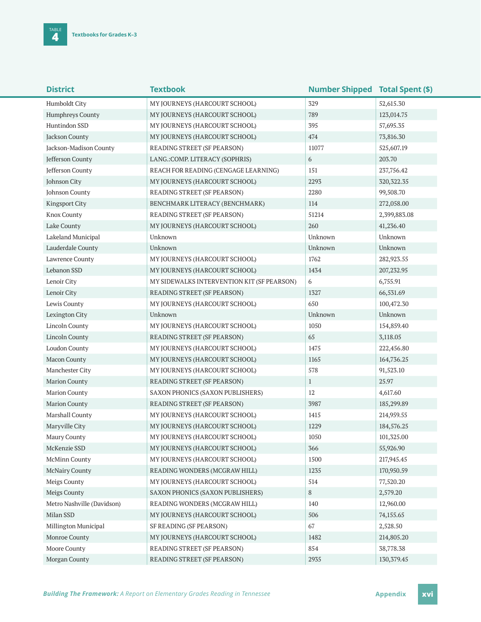| <b>District</b>            | <b>Textbook</b>                            | <b>Number Shipped Total Spent (\$)</b> |              |
|----------------------------|--------------------------------------------|----------------------------------------|--------------|
| Humboldt City              | MY JOURNEYS (HARCOURT SCHOOL)              | 329                                    | 52,615.30    |
| Humphreys County           | MY JOURNEYS (HARCOURT SCHOOL)              | 789                                    | 123,014.75   |
| Huntindon SSD              | MY JOURNEYS (HARCOURT SCHOOL)              | 395                                    | 57,695.35    |
| Jackson County             | MY JOURNEYS (HARCOURT SCHOOL)              | 474                                    | 73,816.30    |
| Jackson-Madison County     | READING STREET (SF PEARSON)                | 11077                                  | 525,607.19   |
| Jefferson County           | LANG.: COMP. LITERACY (SOPHRIS)            | 6                                      | 203.70       |
| Jefferson County           | REACH FOR READING (CENGAGE LEARNING)       | 151                                    | 237,756.42   |
| Johnson City               | MY JOURNEYS (HARCOURT SCHOOL)              | 2293                                   | 320, 322. 35 |
| Johnson County             | READING STREET (SF PEARSON)                | 2280                                   | 99,508.70    |
| <b>Kingsport City</b>      | BENCHMARK LITERACY (BENCHMARK)             | 114                                    | 272,058.00   |
| Knox County                | READING STREET (SF PEARSON)                | 51214                                  | 2,399,883.08 |
| Lake County                | MY JOURNEYS (HARCOURT SCHOOL)              | 260                                    | 41,236.40    |
| Lakeland Municipal         | Unknown                                    | Unknown                                | Unknown      |
| Lauderdale County          | Unknown                                    | Unknown                                | Unknown      |
| Lawrence County            | MY JOURNEYS (HARCOURT SCHOOL)              | 1762                                   | 282,923.55   |
| Lebanon SSD                | MY JOURNEYS (HARCOURT SCHOOL)              | 1434                                   | 207,232.95   |
| Lenoir City                | MY SIDEWALKS INTERVENTION KIT (SF PEARSON) | 6                                      | 6,755.91     |
| Lenoir City                | READING STREET (SF PEARSON)                | 1327                                   | 66,531.69    |
| Lewis County               | MY JOURNEYS (HARCOURT SCHOOL)              | 650                                    | 100,472.30   |
| Lexington City             | Unknown                                    | Unknown                                | Unknown      |
| <b>Lincoln County</b>      | MY JOURNEYS (HARCOURT SCHOOL)              | 1050                                   | 154,859.40   |
| Lincoln County             | READING STREET (SF PEARSON)                | 65                                     | 3,118.05     |
| <b>Loudon County</b>       | MY JOURNEYS (HARCOURT SCHOOL)              | 1475                                   | 222,456.80   |
| Macon County               | MY JOURNEYS (HARCOURT SCHOOL)              | 1165                                   | 164,736.25   |
| Manchester City            | MY JOURNEYS (HARCOURT SCHOOL)              | 578                                    | 91,523.10    |
| <b>Marion County</b>       | READING STREET (SF PEARSON)                | $\mathbf{1}$                           | 25.97        |
| <b>Marion County</b>       | SAXON PHONICS (SAXON PUBLISHERS)           | 12                                     | 4,617.60     |
| <b>Marion County</b>       | READING STREET (SF PEARSON)                | 3987                                   | 185,299.89   |
| Marshall County            | MY JOURNEYS (HARCOURT SCHOOL)              | 1415                                   | 214,959.55   |
| Maryville City             | MY JOURNEYS (HARCOURT SCHOOL)              | 1229                                   | 184,576.25   |
| Maury County               | MY JOURNEYS (HARCOURT SCHOOL)              | 1050                                   | 101,325.00   |
| McKenzie SSD               | MY JOURNEYS (HARCOURT SCHOOL)              | 366                                    | 55,926.90    |
| <b>McMinn County</b>       | MY JOURNEYS (HARCOURT SCHOOL)              | 1500                                   | 217,945.45   |
| <b>McNairy County</b>      | READING WONDERS (MCGRAW HILL)              | 1235                                   | 170,950.59   |
| Meigs County               | MY JOURNEYS (HARCOURT SCHOOL)              | 514                                    | 77,520.20    |
| Meigs County               | SAXON PHONICS (SAXON PUBLISHERS)           | 8                                      | 2,579.20     |
| Metro Nashville (Davidson) | READING WONDERS (MCGRAW HILL)              | 140                                    | 12,960.00    |
| Milan SSD                  | MY JOURNEYS (HARCOURT SCHOOL)              | 506                                    | 74,155.65    |
| Millington Municipal       | SF READING (SF PEARSON)                    | 67                                     | 2,528.50     |
| Monroe County              | MY JOURNEYS (HARCOURT SCHOOL)              | 1482                                   | 214,805.20   |
| Moore County               | READING STREET (SF PEARSON)                | 854                                    | 38,778.38    |
| Morgan County              | READING STREET (SF PEARSON)                | 2935                                   | 130, 379. 45 |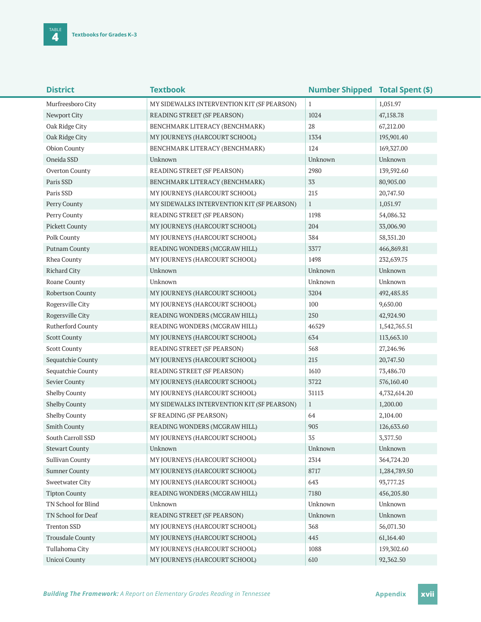| <b>District</b>       | <b>Textbook</b>                            | <b>Number Shipped Total Spent (\$)</b> |              |
|-----------------------|--------------------------------------------|----------------------------------------|--------------|
| Murfreesboro City     | MY SIDEWALKS INTERVENTION KIT (SF PEARSON) | $\mathbf{1}$                           | 1,051.97     |
| Newport City          | READING STREET (SF PEARSON)                | 1024                                   | 47,158.78    |
| Oak Ridge City        | BENCHMARK LITERACY (BENCHMARK)             | 28                                     | 67,212.00    |
| Oak Ridge City        | MY JOURNEYS (HARCOURT SCHOOL)              | 1334                                   | 195,901.40   |
| <b>Obion County</b>   | BENCHMARK LITERACY (BENCHMARK)             | 124                                    | 169,327.00   |
| Oneida SSD            | Unknown                                    | Unknown                                | Unknown      |
| Overton County        | READING STREET (SF PEARSON)                | 2980                                   | 139,592.60   |
| Paris SSD             | BENCHMARK LITERACY (BENCHMARK)             | 33                                     | 80,905.00    |
| Paris SSD             | MY JOURNEYS (HARCOURT SCHOOL)              | 215                                    | 20,747.50    |
| Perry County          | MY SIDEWALKS INTERVENTION KIT (SF PEARSON) | $\mathbf{1}$                           | 1,051.97     |
| Perry County          | READING STREET (SF PEARSON)                | 1198                                   | 54,086.32    |
| <b>Pickett County</b> | MY JOURNEYS (HARCOURT SCHOOL)              | 204                                    | 33,006.90    |
| Polk County           | MY JOURNEYS (HARCOURT SCHOOL)              | 384                                    | 58, 351. 20  |
| Putnam County         | READING WONDERS (MCGRAW HILL)              | 3377                                   | 466,869.81   |
| Rhea County           | MY JOURNEYS (HARCOURT SCHOOL)              | 1498                                   | 232,639.75   |
| <b>Richard City</b>   | Unknown                                    | Unknown                                | Unknown      |
| Roane County          | Unknown                                    | Unknown                                | Unknown      |
| Robertson County      | MY JOURNEYS (HARCOURT SCHOOL)              | 3204                                   | 492,485.85   |
| Rogersville City      | MY JOURNEYS (HARCOURT SCHOOL)              | 100                                    | 9,650.00     |
| Rogersville City      | READING WONDERS (MCGRAW HILL)              | 250                                    | 42,924.90    |
| Rutherford County     | READING WONDERS (MCGRAW HILL)              | 46529                                  | 1,542,765.51 |
| <b>Scott County</b>   | MY JOURNEYS (HARCOURT SCHOOL)              | 634                                    | 113,663.10   |
| <b>Scott County</b>   | READING STREET (SF PEARSON)                | 568                                    | 27,246.96    |
| Sequatchie County     | MY JOURNEYS (HARCOURT SCHOOL)              | 215                                    | 20,747.50    |
| Sequatchie County     | READING STREET (SF PEARSON)                | 1610                                   | 73,486.70    |
| Sevier County         | MY JOURNEYS (HARCOURT SCHOOL)              | 3722                                   | 576,160.40   |
| Shelby County         | MY JOURNEYS (HARCOURT SCHOOL)              | 31113                                  | 4,732,614.20 |
| Shelby County         | MY SIDEWALKS INTERVENTION KIT (SF PEARSON) | $\mathbf{1}$                           | 1,200.00     |
| Shelby County         | SF READING (SF PEARSON)                    | 64                                     | 2,104.00     |
| Smith County          | READING WONDERS (MCGRAW HILL)              | 905                                    | 126,633.60   |
| South Carroll SSD     | MY JOURNEYS (HARCOURT SCHOOL)              | 35                                     | 3,377.50     |
| <b>Stewart County</b> | Unknown                                    | Unknown                                | Unknown      |
| Sullivan County       | MY JOURNEYS (HARCOURT SCHOOL)              | 2314                                   | 364,724.20   |
| <b>Sumner County</b>  | MY JOURNEYS (HARCOURT SCHOOL)              | 8717                                   | 1,284,789.50 |
| Sweetwater City       | MY JOURNEYS (HARCOURT SCHOOL)              | 643                                    | 93,777.25    |
| <b>Tipton County</b>  | READING WONDERS (MCGRAW HILL)              | 7180                                   | 456,205.80   |
| TN School for Blind   | Unknown                                    | Unknown                                | Unknown      |
| TN School for Deaf    | READING STREET (SF PEARSON)                | Unknown                                | Unknown      |
| <b>Trenton SSD</b>    | MY JOURNEYS (HARCOURT SCHOOL)              | 368                                    | 56,071.30    |
| Trousdale County      | MY JOURNEYS (HARCOURT SCHOOL)              | 445                                    | 61,164.40    |
| Tullahoma City        | MY JOURNEYS (HARCOURT SCHOOL)              | 1088                                   | 159,302.60   |
| Unicoi County         | MY JOURNEYS (HARCOURT SCHOOL)              | 610                                    | 92,362.50    |